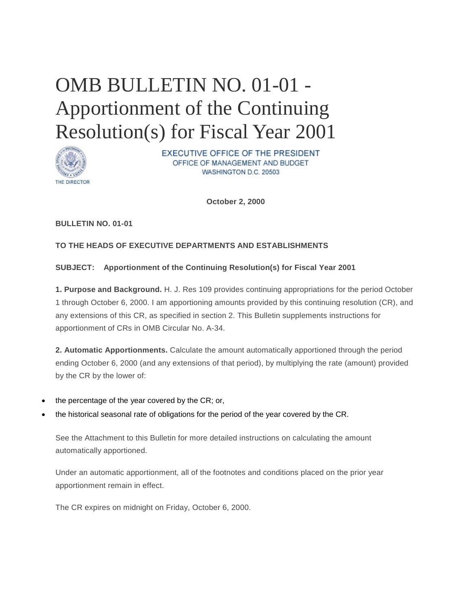# OMB BULLETIN NO. 01-01 - Apportionment of the Continuing Resolution(s) for Fiscal Year 2001



EXECUTIVE OFFICE OF THE PRESIDENT OFFICE OF MANAGEMENT AND BUDGET WASHINGTON D.C. 20503

**October 2, 2000**

# **BULLETIN NO. 01-01**

# **TO THE HEADS OF EXECUTIVE DEPARTMENTS AND ESTABLISHMENTS**

### **SUBJECT: Apportionment of the Continuing Resolution(s) for Fiscal Year 2001**

**1. Purpose and Background.** H. J. Res 109 provides continuing appropriations for the period October 1 through October 6, 2000. I am apportioning amounts provided by this continuing resolution (CR), and any extensions of this CR, as specified in section 2. This Bulletin supplements instructions for apportionment of CRs in OMB Circular No. A-34.

**2. Automatic Apportionments.** Calculate the amount automatically apportioned through the period ending October 6, 2000 (and any extensions of that period), by multiplying the rate (amount) provided by the CR by the lower of:

- the percentage of the year covered by the CR; or,
- the historical seasonal rate of obligations for the period of the year covered by the CR.

See the Attachment to this Bulletin for more detailed instructions on calculating the amount automatically apportioned.

Under an automatic apportionment, all of the footnotes and conditions placed on the prior year apportionment remain in effect.

The CR expires on midnight on Friday, October 6, 2000.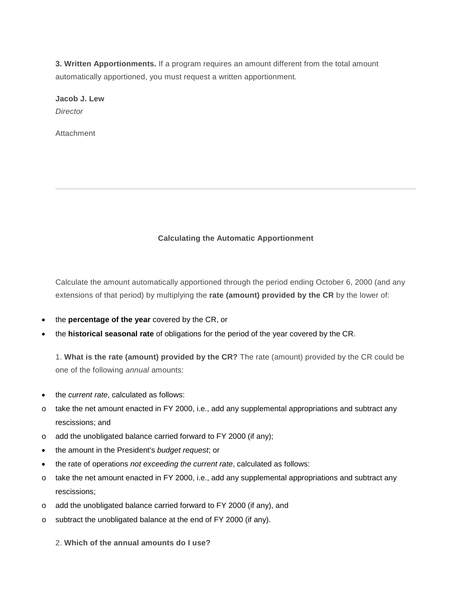**3. Written Apportionments.** If a program requires an amount different from the total amount automatically apportioned, you must request a written apportionment.

**Jacob J. Lew** *Director*

Attachment

### **Calculating the Automatic Apportionment**

Calculate the amount automatically apportioned through the period ending October 6, 2000 (and any extensions of that period) by multiplying the **rate (amount) provided by the CR** by the lower of:

- the **percentage of the year** covered by the CR, or
- the **historical seasonal rate** of obligations for the period of the year covered by the CR.

1. **What is the rate (amount) provided by the CR?** The rate (amount) provided by the CR could be one of the following *annual* amounts:

- the *current rate*, calculated as follows:
- $\circ$  take the net amount enacted in FY 2000, i.e., add any supplemental appropriations and subtract any rescissions; and
- o add the unobligated balance carried forward to FY 2000 (if any);
- the amount in the President's *budget request*; or
- the rate of operations *not exceeding the current rate*, calculated as follows:
- o take the net amount enacted in FY 2000, i.e., add any supplemental appropriations and subtract any rescissions;
- o add the unobligated balance carried forward to FY 2000 (if any), and
- o subtract the unobligated balance at the end of FY 2000 (if any).
	- 2. **Which of the annual amounts do I use?**